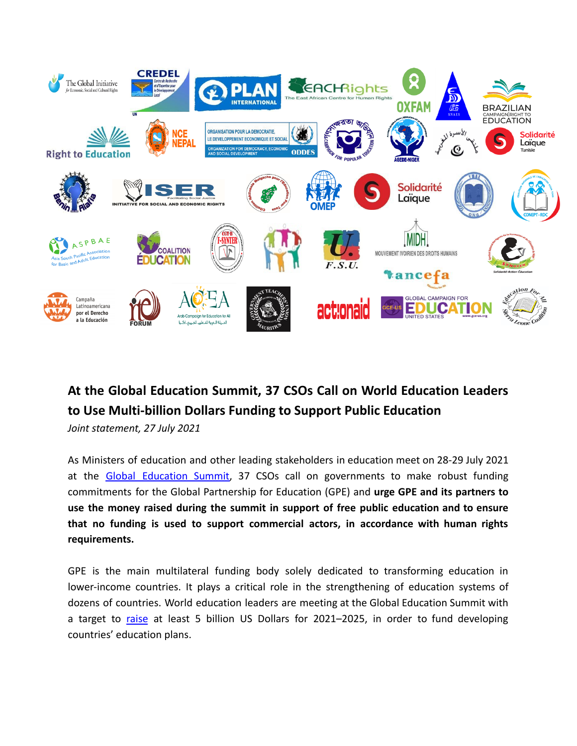

## **At the Global Education Summit, 37 CSOs Call on World Education Leaders to Use Multi-billion Dollars Funding to Support Public Education**

*Joint statement, 27 July 2021*

As Ministers of education and other leading stakeholders in education meet on 28-29 July 2021 at the Global [Education](https://www.globalpartnership.org/financing-2025/summit) Summit, 37 CSOs call on governments to make robust funding commitments for the Global Partnership for Education (GPE) and **urge GPE and its partners to use the money raised during the summit in support of free public education and to ensure that no funding is used to support commercial actors, in accordance with human rights requirements.**

GPE is the main multilateral funding body solely dedicated to transforming education in lower-income countries. It plays a critical role in the strengthening of education systems of dozens of countries. World education leaders are meeting at the Global Education Summit with a target to [raise](https://www.globalpartnership.org/financing-2025/case-for-investment) at least 5 billion US Dollars for 2021–2025, in order to fund developing countries' education plans.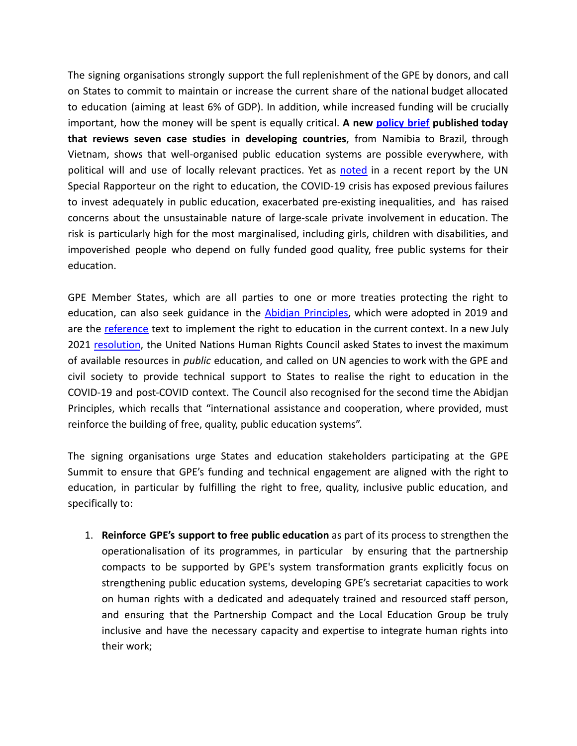The signing organisations strongly support the full replenishment of the GPE by donors, and call on States to commit to maintain or increase the current share of the national budget allocated to education (aiming at least 6% of GDP). In addition, while increased funding will be crucially important, how the money will be spent is equally critical. **A new [policy](https://drive.google.com/drive/u/1/folders/1V4KFI5eeX4Up1HMMTsu141om9hboVccZ) brief published today that reviews seven case studies in developing countries**, from Namibia to Brazil, through Vietnam, shows that well-organised public education systems are possible everywhere, with political will and use of locally relevant practices. Yet as [noted](https://www.ohchr.org/EN/Issues/Education/SREducation/Pages/COVID19.aspx) in a recent report by the UN Special Rapporteur on the right to education, the COVID-19 crisis has exposed previous failures to invest adequately in public education, exacerbated pre-existing inequalities, and has raised concerns about the unsustainable nature of large-scale private involvement in education. The risk is particularly high for the most marginalised, including girls, children with disabilities, and impoverished people who depend on fully funded good quality, free public systems for their education.

GPE Member States, which are all parties to one or more treaties protecting the right to education, can also seek guidance in the Abidjan [Principles,](https://www.abidjanprinciples.org/) which were adopted in 2019 and are the [reference](https://www.abidjanprinciples.org/en/support/official-recognition) text to implement the right to education in the current context. In a new July 2021 [resolution](https://bit.ly/3B4tW4C), the United Nations Human Rights Council asked States to invest the maximum of available resources in *public* education, and called on UN agencies to work with the GPE and civil society to provide technical support to States to realise the right to education in the COVID-19 and post-COVID context. The Council also recognised for the second time the Abidjan Principles, which recalls that "international assistance and cooperation, where provided, must reinforce the building of free, quality, public education systems".

The signing organisations urge States and education stakeholders participating at the GPE Summit to ensure that GPE's funding and technical engagement are aligned with the right to education, in particular by fulfilling the right to free, quality, inclusive public education, and specifically to:

1. **Reinforce GPE's support to free public education** as part of its process to strengthen the operationalisation of its programmes, in particular by ensuring that the partnership compacts to be supported by GPE's system transformation grants explicitly focus on strengthening public education systems, developing GPE's secretariat capacities to work on human rights with a dedicated and adequately trained and resourced staff person, and ensuring that the Partnership Compact and the Local Education Group be truly inclusive and have the necessary capacity and expertise to integrate human rights into their work;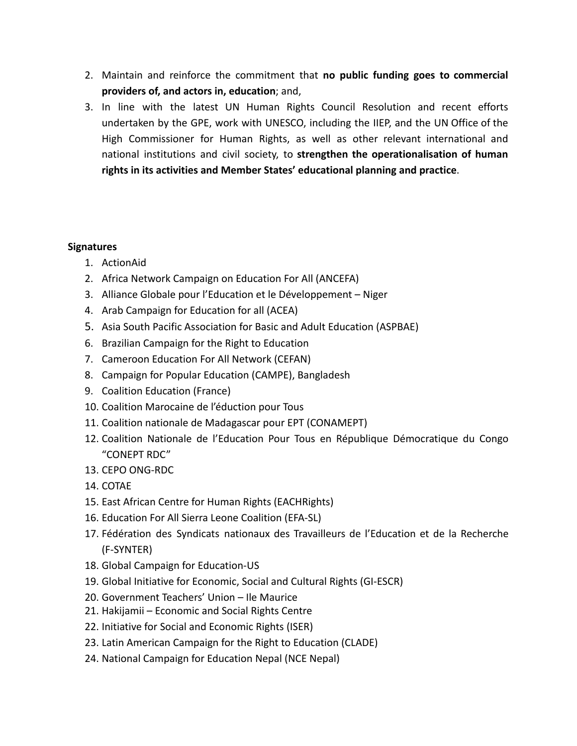- 2. Maintain and reinforce the commitment that **no public funding goes to commercial providers of, and actors in, education**; and,
- 3. In line with the latest UN Human Rights Council Resolution and recent efforts undertaken by the GPE, work with UNESCO, including the IIEP, and the UN Office of the High Commissioner for Human Rights, as well as other relevant international and national institutions and civil society, to **strengthen the operationalisation of human rights in its activities and Member States' educational planning and practice**.

## **Signatures**

- 1. ActionAid
- 2. Africa Network Campaign on Education For All (ANCEFA)
- 3. Alliance Globale pour l'Education et le Développement Niger
- 4. Arab Campaign for Education for all (ACEA)
- 5. Asia South Pacific Association for Basic and Adult Education (ASPBAE)
- 6. Brazilian Campaign for the Right to Education
- 7. Cameroon Education For All Network (CEFAN)
- 8. Campaign for Popular Education (CAMPE), Bangladesh
- 9. Coalition Education (France)
- 10. Coalition Marocaine de l'éduction pour Tous
- 11. Coalition nationale de Madagascar pour EPT (CONAMEPT)
- 12. Coalition Nationale de l'Education Pour Tous en République Démocratique du Congo "CONEPT RDC"
- 13. CEPO ONG-RDC
- 14. COTAE
- 15. East African Centre for Human Rights (EACHRights)
- 16. Education For All Sierra Leone Coalition (EFA-SL)
- 17. Fédération des Syndicats nationaux des Travailleurs de l'Education et de la Recherche (F-SYNTER)
- 18. Global Campaign for Education-US
- 19. Global Initiative for Economic, Social and Cultural Rights (GI-ESCR)
- 20. Government Teachers' Union Ile Maurice
- 21. Hakijamii Economic and Social Rights Centre
- 22. Initiative for Social and Economic Rights (ISER)
- 23. Latin American Campaign for the Right to Education (CLADE)
- 24. National Campaign for Education Nepal (NCE Nepal)